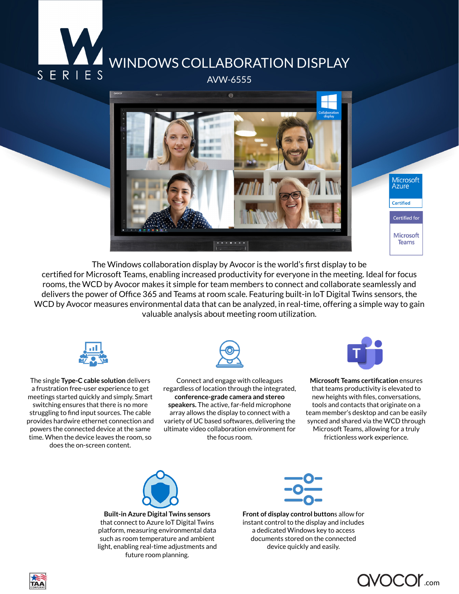



The Windows collaboration display by Avocor is the world's first display to be certified for Microsoft Teams, enabling increased productivity for everyone in the meeting. Ideal for focus rooms, the WCD by Avocor makes it simple for team members to connect and collaborate seamlessly and delivers the power of Office 365 and Teams at room scale. Featuring built-in loT Digital Twins sensors, the WCD by Avocor measures environmental data that can be analyzed, in real-time, offering a simple way to gain valuable analysis about meeting room utilization.



The single **Type-C cable solution** delivers a frustration free-user experience to get meetings started quickly and simply. Smart switching ensures that there is no more struggling to find input sources. The cable provides hardwire ethernet connection and powers the connected device at the same time. When the device leaves the room, so does the on-screen content.



Connect and engage with colleagues regardless of location through the integrated, **conference-grade camera and stereo speakers.** The active, far-field microphone array allows the display to connect with a variety of UC based softwares, delivering the ultimate video collaboration environment for the focus room.



**Microsoft Teams certification** ensures that teams productivity is elevated to new heights with files, conversations, tools and contacts that originate on a team member's desktop and can be easily synced and shared via the WCD through Microsoft Teams, allowing for a truly frictionless work experience.



**Built-in Azure Digital Twins sensors**  that connect to Azure loT Digital Twins platform, measuring environmental data such as room temperature and ambient light, enabling real-time adjustments and future room planning.



**Front of display control button**s allow for instant control to the display and includes a dedicated Windows key to access documents stored on the connected device quickly and easily.